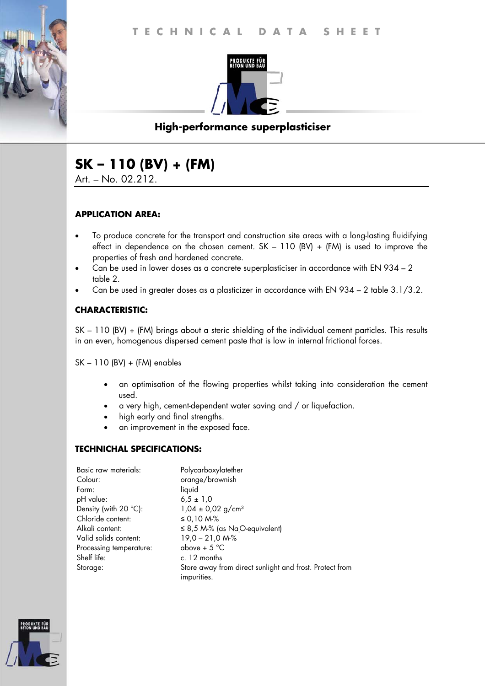

# **High-performance superplasticiser**

# **SK – 110 (BV) + (FM)**

Art. – No. 02.212.

### **APPLICATION AREA:**

- To produce concrete for the transport and construction site areas with a long-lasting fluidifying effect in dependence on the chosen cement. SK – 110 (BV) + (FM) is used to improve the properties of fresh and hardened concrete.
- Can be used in lower doses as a concrete superplasticiser in accordance with EN 934 2 table 2.
- Can be used in greater doses as a plasticizer in accordance with EN 934 2 table 3.1/3.2.

### **CHARACTERISTIC:**

SK – 110 (BV) + (FM) brings about a steric shielding of the individual cement particles. This results in an even, homogenous dispersed cement paste that is low in internal frictional forces.

SK – 110 (BV) + (FM) enables

- an optimisation of the flowing properties whilst taking into consideration the cement used.
- a very high, cement-dependent water saving and / or liquefaction.
- high early and final strengths.
- an improvement in the exposed face.

### **TECHNICHAL SPECIFICATIONS:**

| Basic raw materials:           | Polycarboxylatether                                                    |
|--------------------------------|------------------------------------------------------------------------|
| Colour:                        | orange/brownish                                                        |
| Form:                          | liquid                                                                 |
| pH value:                      | $6.5 \pm 1.0$                                                          |
| Density (with $20^{\circ}$ C): | $1,04 \pm 0,02$ g/cm <sup>3</sup>                                      |
| Chloride content:              | ≤ 0,10 M-%                                                             |
| Alkali content:                | $\leq$ 8,5 M-% (as Na <sub>O</sub> -equivalent)                        |
| Valid solids content:          | $19,0 - 21,0 M2$                                                       |
| Processing temperature:        | above + $5^{\circ}$ C                                                  |
| Shelf life:                    | c. 12 months                                                           |
| Storage:                       | Store away from direct sunlight and frost. Protect from<br>impurities. |